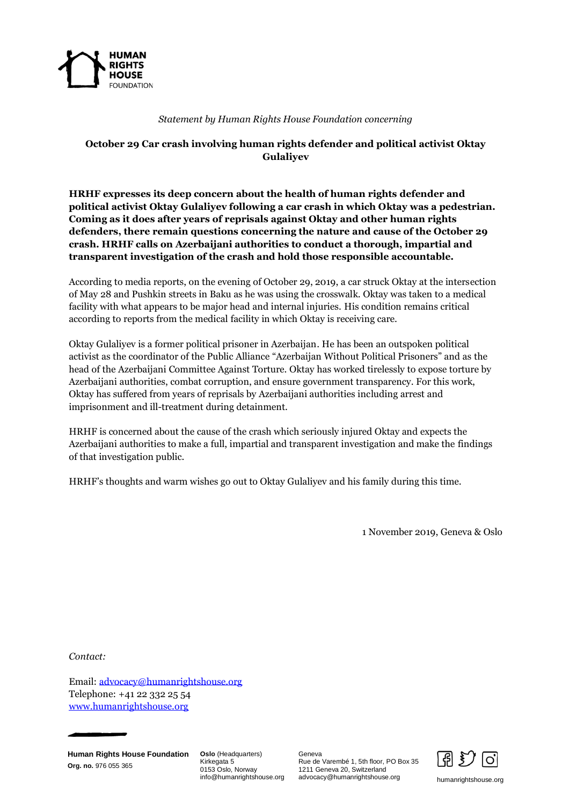

## *Statement by Human Rights House Foundation concerning*

## **October 29 Car crash involving human rights defender and political activist Oktay Gulaliyev**

**HRHF expresses its deep concern about the health of human rights defender and political activist Oktay Gulaliyev following a car crash in which Oktay was a pedestrian. Coming as it does after years of reprisals against Oktay and other human rights defenders, there remain questions concerning the nature and cause of the October 29 crash. HRHF calls on Azerbaijani authorities to conduct a thorough, impartial and transparent investigation of the crash and hold those responsible accountable.**

According to media reports, on the evening of October 29, 2019, a car struck Oktay at the intersection of May 28 and Pushkin streets in Baku as he was using the crosswalk. Oktay was taken to a medical facility with what appears to be major head and internal injuries. His condition remains critical according to reports from the medical facility in which Oktay is receiving care.

Oktay Gulaliyev is a former political prisoner in Azerbaijan. He has been an outspoken political activist as the coordinator of the Public Alliance "Azerbaijan Without Political Prisoners" and as the head of the Azerbaijani Committee Against Torture. Oktay has worked tirelessly to expose torture by Azerbaijani authorities, combat corruption, and ensure government transparency. For this work, Oktay has suffered from years of reprisals by Azerbaijani authorities including arrest and imprisonment and ill-treatment during detainment.

HRHF is concerned about the cause of the crash which seriously injured Oktay and expects the Azerbaijani authorities to make a full, impartial and transparent investigation and make the findings of that investigation public.

HRHF's thoughts and warm wishes go out to Oktay Gulaliyev and his family during this time.

1 November 2019, Geneva & Oslo

*Contact:*

Email: [advocacy@humanrightshouse.org](mailto:advocacy@humanrightshouse.org) Telephone: +41 22 332 25 54 [www.humanrightshouse.org](http://www.humanrightshouse.org/)

**Human Rights House Foundation Org. no.** 976 055 365

**Oslo** (Headquarters) Kirkegata 5 0153 Oslo, Norway info@humanrightshouse.org Geneva Rue de Varembé 1, 5th floor, PO Box 35 1211 Geneva 20, Switzerland advocacy@humanrightshouse.org humanrightshouse.org